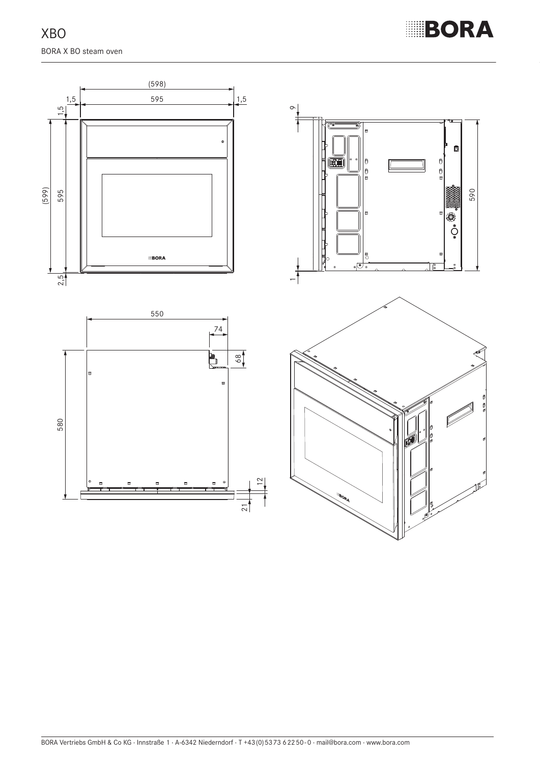XBO BORA X BO steam oven